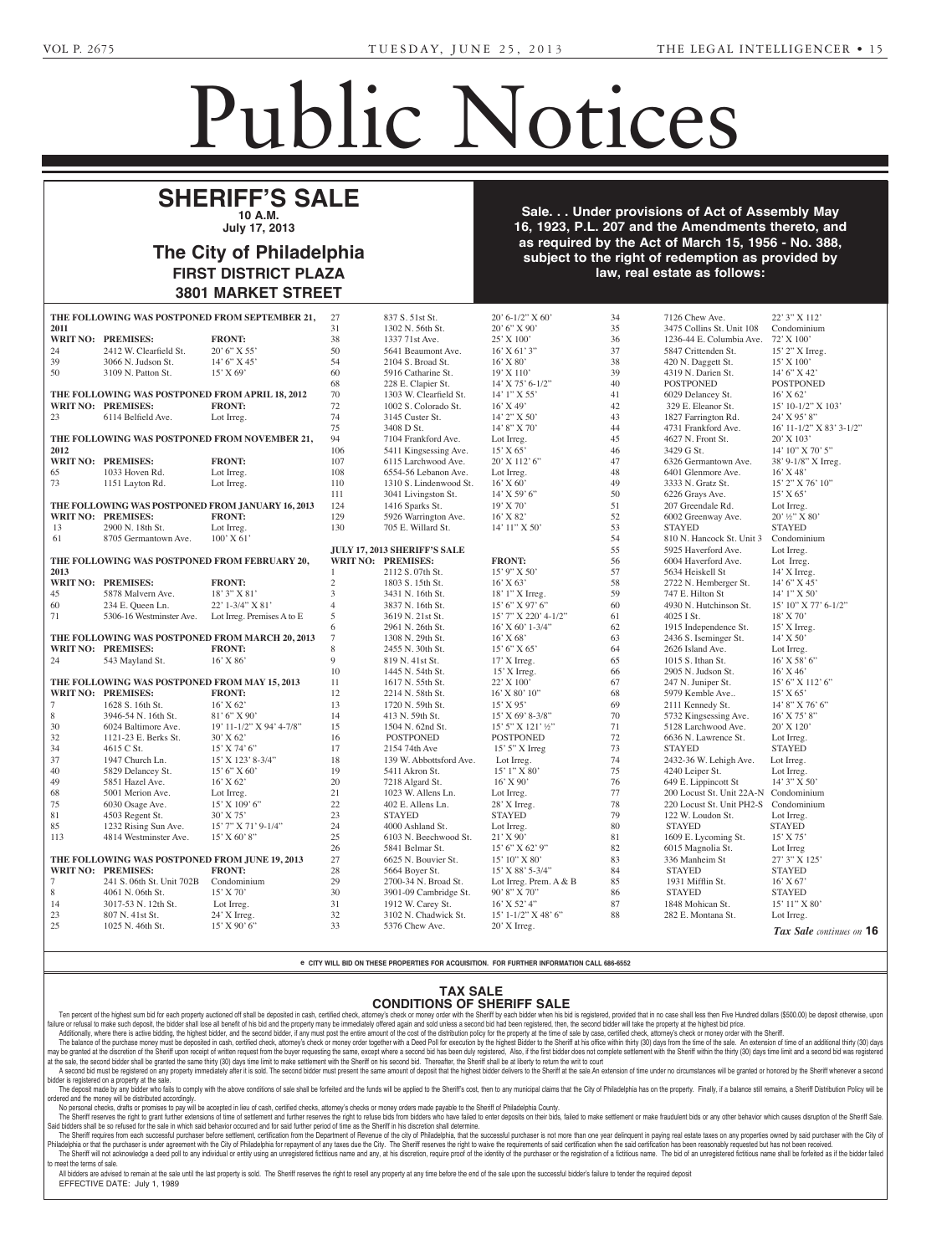Court of Common Pleas for the County of Philadelphia, June Term 2013, No. 001317. No. 001317. No. 001317. No. 001317. No. 001317. No. 001317. No. 001317. No. 001317. No hereby given that on June 17th, 2013, the petition of **Mai Monica**

## Public Notices

more Pike, No. 665A, Spring-

## SHERIFF'S SALE **10 A.M.**  $\mu$ July 17 2013 Walnut Street, 7th Floor, Phila-**July 17, 2013**

#### Section 3162 of the Probate, Estates and Fiduciaries Code of June 30, 1972 (Act No. 164) which requires advertisement **3801 MARKET STREET** <u>the name and address of the name and address of the name and address of the name and address of the name and a</u>  $\alpha$  at Phila. The City of Philadelphia **HOPE, GERTRUDE E.** -- Charles **FIRST DISTRICT PLAZA** <u>C. Russell, Esp., 3500 Reading</u>

**RICCIUTI, ENICE N., (also known as INEX REPORTED WITH THE COMPT THE COMPT. ENICE ANIMALS AS THE STATE OF STATE OF STATE OF STATE OF MATCH** M. Baggiano, Executor, 491 Baltimore Pike, No. 665 field, PA 19064; Catherine M. Baggiano, Attorney, 491 Baltias required by the Act of March 15, 1956 - No. 388, the provision of the provisions of the PA Non-<br>Ct to the right of redemption as provided by profit Corporation Law of 1988. **law, real estate as follows: Aking to Aking to Aking to Aking to A** Sale. . . Under provisions of Act of Assembly May 16, 1923, P.L. 207 and the Amendments thereto, and subject to the right of redemption as provided by

|                                                       |                                                | THE FOLLOWING WAS POSTPONED FROM SEPTEMBER 21,    | 27              | 837 S. 51st St.                              | $20' 6 - 1/2'' X 60'$  | 34       | 7126 Chew Ave.                            | 22' 3" X 112'                  |  |
|-------------------------------------------------------|------------------------------------------------|---------------------------------------------------|-----------------|----------------------------------------------|------------------------|----------|-------------------------------------------|--------------------------------|--|
| 2011                                                  |                                                |                                                   | 31              | 1302 N. 56th St.                             | $20'6''$ X 90'         | 35       | 3475 Collins St. Unit 108                 | Condominium                    |  |
|                                                       | <b>WRIT NO: PREMISES:</b>                      | <b>FRONT:</b>                                     | 38              | 1337 71st Ave.                               | 25' X 100'             | 36       | 1236-44 E. Columbia Ave. 72' X 100'       |                                |  |
| 24                                                    | 2412 W. Clearfield St.                         | $20'6''$ X 55'                                    | 50              | 5641 Beaumont Ave.                           | $16'$ X 61' 3"         | 37       | 5847 Crittenden St.                       | $15'$ 2" X Irreg.              |  |
| 39                                                    | 3066 N. Judson St.                             | $14'6''$ X 45'                                    | 54              | 2104 S. Broad St.                            | 16' X 80'              | 38       | 420 N. Daggett St.                        | 15' X 100'                     |  |
| 50                                                    | 3109 N. Patton St.                             | $15'$ X 69'                                       | 60              | 5916 Catharine St.                           | 19' X 110'             | 39       | 4319 N. Darien St.                        | 14' 6" X 42'                   |  |
|                                                       |                                                |                                                   | 68              | 228 E. Clapier St.                           | $14'$ X 75' 6-1/2"     | 40       | <b>POSTPONED</b>                          | <b>POSTPONED</b>               |  |
| THE FOLLOWING WAS POSTPONED FROM APRIL 18, 2012       |                                                |                                                   | 70              | 1303 W. Clearfield St.                       | $14'1''$ X 55'         | 41       | 6029 Delancey St.                         | $16'$ X 62'                    |  |
|                                                       | <b>WRIT NO: PREMISES:</b>                      | <b>FRONT:</b>                                     | 72              | 1002 S. Colorado St.                         | $16'$ X 49'            | 42       |                                           | 15' 10-1/2" X 103'             |  |
| 23                                                    |                                                |                                                   | 74              | 3145 Custer St.                              | $14'$ 2" X 50'         | 43       | 329 E. Eleanor St.<br>1827 Farrington Rd. | 24' X 95' 8"                   |  |
|                                                       | 6114 Belfield Ave.                             | Lot Irreg.                                        | 75              | 3408 D St.                                   | 14' 8" X 70'           | 44       | 4731 Frankford Ave.                       | 16' 11-1/2" X 83' 3-1/2"       |  |
|                                                       |                                                |                                                   | 94              | 7104 Frankford Ave.                          | Lot Irreg.             | 45       | 4627 N. Front St.                         | $20'$ X $103'$                 |  |
| THE FOLLOWING WAS POSTPONED FROM NOVEMBER 21,<br>2012 |                                                |                                                   | 106             |                                              | $15'$ X 65'            | 46       | 3429 G St.                                | 14' 10" X 70' 5"               |  |
|                                                       | <b>WRIT NO: PREMISES:</b>                      | <b>FRONT:</b>                                     | 107             | 5411 Kingsessing Ave.<br>6115 Larchwood Ave. | $20'$ X 112' 6"        | 47       | 6326 Germantown Ave.                      | 38' 9-1/8" X Irreg.            |  |
| 65                                                    | 1033 Hoven Rd.                                 | Lot Irreg.                                        | 108             | 6554-56 Lebanon Ave.                         | Lot Irreg.             | 48       | 6401 Glenmore Ave.                        | $16'$ X 48'                    |  |
| 73                                                    |                                                | Lot Irreg.                                        | 110             | 1310 S. Lindenwood St.                       | $16'$ X 60'            | 49       | 3333 N. Gratz St.                         | 15' 2" X 76' 10"               |  |
|                                                       | 1151 Layton Rd.                                |                                                   | 111             |                                              | $14'$ X 59' 6"         | 50       |                                           | $15'$ X 65'                    |  |
|                                                       |                                                |                                                   |                 | 3041 Livingston St.                          |                        | 51       | 6226 Grays Ave.                           |                                |  |
|                                                       |                                                | THE FOLLOWING WAS POSTPONED FROM JANUARY 16, 2013 | 124             | 1416 Sparks St.                              | 19' X 70'              | 52       | 207 Greendale Rd.                         | Lot Irreg.<br>20' 1/2" X 80'   |  |
|                                                       | <b>WRIT NO: PREMISES:</b>                      | <b>FRONT:</b>                                     | 129             | 5926 Warrington Ave.                         | $16'$ X 82'            |          | 6002 Greenway Ave.                        | <b>STAYED</b>                  |  |
| 13                                                    | 2900 N. 18th St.                               | Lot Irreg.                                        | 130             | 705 E. Willard St.                           | $14'$ $11''$ X $50'$   | 53       | <b>STAYED</b>                             |                                |  |
| 61                                                    | 8705 Germantown Ave.                           | $100'$ X 61'                                      |                 |                                              |                        | 54<br>55 | 810 N. Hancock St. Unit 3                 | Condominium                    |  |
|                                                       |                                                |                                                   |                 | JULY 17, 2013 SHERIFF'S SALE                 |                        |          | 5925 Haverford Ave.                       | Lot Irreg.                     |  |
|                                                       | THE FOLLOWING WAS POSTPONED FROM FEBRUARY 20,  |                                                   |                 | <b>WRIT NO: PREMISES:</b>                    | <b>FRONT:</b>          | 56       | 6004 Haverford Ave.                       | Lot Irreg.                     |  |
| 2013                                                  | <b>WRIT NO: PREMISES:</b>                      |                                                   |                 | 2112 S. 07th St.                             | $15'$ 9" X 50"         | 57       | 5634 Heiskell St                          | 14' X Irreg.                   |  |
|                                                       |                                                | <b>FRONT:</b>                                     | $\sqrt{2}$      | 1803 S. 15th St.                             | $16'$ X 63'            | 58       | 2722 N. Hemberger St.                     | 14' 6" X 45'                   |  |
| 45                                                    | 5878 Malvern Ave.                              | 18' 3" X 81'                                      | 3               | 3431 N. 16th St.                             | $18'1''$ X Irreg.      | 59       | 747 E. Hilton St                          | $14'1''$ X 50'                 |  |
| 60                                                    | 234 E. Queen Ln.                               | 22' 1-3/4" X 81'                                  | $\overline{4}$  | 3837 N. 16th St.                             | 15' 6''  X 97' 6''     | 60       | 4930 N. Hutchinson St.                    | 15' 10" X 77' 6-1/2"           |  |
| 71                                                    | 5306-16 Westminster Ave.                       | Lot Irreg. Premises A to E                        | 5<br>6          | 3619 N. 21st St.                             | 15' 7" X 220' 4-1/2"   | 61       | 4025 I St.                                | 18' X 70'                      |  |
|                                                       |                                                |                                                   | $7\phantom{.0}$ | 2961 N. 26th St.                             | $16'$ X 60' 1-3/4"     | 62       | 1915 Independence St.                     | $15'$ X Irreg.                 |  |
|                                                       |                                                | THE FOLLOWING WAS POSTPONED FROM MARCH 20, 2013   |                 | 1308 N. 29th St.                             | $16'$ X 68'            | 63       | 2436 S. Iseminger St.                     | $14'$ X 50'                    |  |
|                                                       | <b>WRIT NO: PREMISES:</b>                      | <b>FRONT:</b>                                     | 8               | 2455 N. 30th St.                             | $15'6''$ X 65'         | 64       | 2626 Island Ave.                          | Lot Irreg.                     |  |
| 24                                                    | 543 Mayland St.                                | 16' X 86'                                         | 9               | 819 N. 41st St.                              | $17'$ X Irreg.         | 65       | 1015 S. Ithan St.                         | $16'$ X 58' 6"                 |  |
| THE FOLLOWING WAS POSTPONED FROM MAY 15, 2013         |                                                |                                                   | 10              | 1445 N. 54th St.                             | $15'$ X Irreg.         | 66       | 2905 N. Judson St.                        | $16'$ X 46'                    |  |
|                                                       |                                                |                                                   | 11              | 1617 N. 55th St.                             | 22' X 100'             | 67       | 247 N. Juniper St.                        | 15' 6" X 112' 6"               |  |
|                                                       | <b>WRIT NO: PREMISES:</b>                      | <b>FRONT:</b>                                     | 12              | 2214 N. 58th St.                             | 16' X 80' 10"          | 68       | 5979 Kemble Ave                           | 15' X 65'                      |  |
| $7\phantom{.0}$                                       | 1628 S. 16th St.                               | $16'$ X 62'                                       | 13<br>14        | 1720 N. 59th St.                             | $15'$ X 95'            | 69       | 2111 Kennedy St.                          | 14' 8" X 76' 6"                |  |
| 8                                                     | 3946-54 N. 16th St.                            | $81'6''$ X 90'                                    |                 | 413 N. 59th St.                              | $15'$ X 69' 8-3/8"     | 70       | 5732 Kingsessing Ave.                     | 16' X 75' 8"                   |  |
| 30                                                    | 6024 Baltimore Ave.                            | 19' 11-1/2" X 94' 4-7/8"                          | 15              | 1504 N. 62nd St.                             | 15' 5" X 121' 1/2"     | 71       | 5128 Larchwood Ave.                       | 20' X 120'                     |  |
| 32                                                    | 1121-23 E. Berks St.                           | $30'$ X 62'                                       | 16              | <b>POSTPONED</b>                             | <b>POSTPONED</b>       | 72       | 6636 N. Lawrence St.                      | Lot Irreg.<br><b>STAYED</b>    |  |
| 34                                                    | 4615 C St.                                     | $15'$ X 74' 6"                                    | 17              | 2154 74th Ave                                | $15'$ 5" X Irreg       | 73       | <b>STAYED</b>                             |                                |  |
| 37                                                    | 1947 Church Ln.                                | $15'$ X $123'$ 8-3/4"                             | 18<br>19        | 139 W. Abbottsford Ave.                      | Lot Irreg.             | 74       | 2432-36 W. Lehigh Ave.                    | Lot Irreg.                     |  |
| 40                                                    | 5829 Delancey St.                              | 15' 6'' X 60'                                     | 20              | 5411 Akron St.                               | $15'1''$ X 80'         | 75       | 4240 Leiper St.                           | Lot Irreg.                     |  |
| 49                                                    | 5851 Hazel Ave.                                | $16'$ X 62'                                       |                 | 7218 Algard St.                              | 16' X 90'              | 76       | 649 E. Lippincott St                      | 14' 3" X 50'                   |  |
| 68                                                    | 5001 Merion Ave.                               | Lot Irreg.                                        | 21              | 1023 W. Allens Ln.                           | Lot Irreg.             | 77       | 200 Locust St. Unit 22A-N Condominium     |                                |  |
| 75                                                    | 6030 Osage Ave.                                | $15'$ X $109'$ 6"                                 | 22<br>23        | 402 E. Allens Ln.                            | 28' X Irreg.           | 78<br>79 | 220 Locust St. Unit PH2-S Condominium     |                                |  |
| 81                                                    | 4503 Regent St.                                | 30' X 75'                                         |                 | <b>STAYED</b>                                | <b>STAYED</b>          |          | 122 W. Loudon St.                         | Lot Irreg.                     |  |
| 85                                                    | 1232 Rising Sun Ave.                           | $15'$ 7" X 71' 9-1/4"                             | 24              | 4000 Ashland St.                             | Lot Irreg.             | 80       | <b>STAYED</b>                             | <b>STAYED</b>                  |  |
| 113                                                   | 4814 Westminster Ave.                          | 15' X 60' 8"                                      | 25              | 6103 N. Beechwood St.                        | 21' X 90'              | 81       | 1609 E. Lycoming St.                      | $15'$ X 75'                    |  |
|                                                       |                                                |                                                   | 26              | 5841 Belmar St.                              | 15' 6" X 62' 9"        | 82       | 6015 Magnolia St.                         | Lot Irreg                      |  |
|                                                       | THE FOLLOWING WAS POSTPONED FROM JUNE 19, 2013 |                                                   | 27              | 6625 N. Bouvier St.                          | 15' 10" X 80'          | 83       | 336 Manheim St                            | 27' 3" X 125'                  |  |
|                                                       | WRIT NO: PREMISES:                             | <b>FRONT:</b>                                     | 28              | 5664 Boyer St.                               | $15'$ X 88' 5-3/4"     | 84       | <b>STAYED</b>                             | <b>STAYED</b>                  |  |
| 7                                                     | 241 S. 06th St. Unit 702B                      | Condominium                                       | 29              | 2700-34 N. Broad St.                         | Lot Irreg. Prem. A & B | 85       | 1931 Mifflin St.                          | $16'$ X 67'                    |  |
| 8                                                     | 4061 N. 06th St.                               | $15'$ X 70'                                       | 30              | 3901-09 Cambridge St.                        | $90'8''$ X 70"         | 86       | <b>STAYED</b>                             | <b>STAYED</b><br>15' 11" X 80' |  |
| 14                                                    | 3017-53 N. 12th St.                            | Lot Irreg.                                        | 31              | 1912 W. Carey St.                            | 16' X 52' 4"           | 87       | 1848 Mohican St.<br>282 E. Montana St.    |                                |  |
| 23                                                    | 807 N. 41st St.                                | $24'$ X Irreg.                                    | 32              | 3102 N. Chadwick St.                         | 15' 1-1/2" X 48' 6"    | 88       |                                           | Lot Irreg.                     |  |
| $25\,$                                                | 1025 N. 46th St.                               | $15'$ X 90' 6"                                    | 33              | 5376 Chew Ave.                               | $20'$ X Irreg.         |          |                                           | Tax Sale continues on 16       |  |

dolores M. McDermott, Admin-Admin-Admin-Admin-Admin-Admin-Admin-Admin-Admin-Admin-Admin-Admin-Admin-Admin-Admi istratrix, c/o Paul A. Coghlan, Es-NOTICE is hereby given that on **e CITY WILL BID ON THESE PROPERTIES FOR ACQUISITION. FOR FURTHER INFORMATION CALL 686-6552** June 10, 2013 Articles of Incor-C.C.P. for the County of Phila.,

## **PORATION WITH TAX SALE** sylvania Department of State for 12/2013 the petition was filed by

**The Twenty Owners' Association CONDITIONS OF SHERIFF SALE**

ren percent of the highest sum ond for each property auctioned on shall be deposited in cash, certified check, attorney's check or money order with the Sherin to gade noder when its bid as especified and the property many and or retusal to make such deposit, the bloder shall lose all behelt or his blo and the property many be immediately oriered again and sold unless a second bid ness ascond bidder, and the server and the second bidder, if CONDITIONS OF SHERIFF SALE<br>impodiately offered again and gold unless a cooper with the Sheriff by each biddler when his bid is registered, provided that in no case shall less then Five Hundred dollars (\$500.00) be deposit len percent of the highest sum but on the percent and the constant of the detail be deposited in cash, certified crist of more your business in the second highest provided when the constant in the constant in the constant

Ruditorially, where there is active bluding, the highest bludel, and the second bludel, in any must post the entire amount of the cost of the ustinuium policy for the property at the influence of steep, attimed check, atto The batance of the particles indiced in the Street of outcomed in cash, between theory, attorney street, attorney street of indirey over logerier with a been of the research by the highest blouder to the Shellin at his sim at the sale, the second bidder shall be granted the same thirty (30) days time limit to make settlement with the Sheriff on his second bid. Thereafter, the Sheriff shall be at liberty to return the writ to court at the sale, the second bidder shall be granted the same thirty (30) days time limit to make settlement with the Sheriff on his second bid. Thereafter, the Sheriff shall be at liberty to return the writ to court to count a may be granted at the discretion of the Sheriff upon receipt of written request from the buyer requesting the same, except where a second bid nas been duly registered, Also, if the first bloder does not complete settlement

bidder is registered on a property at the sale. e.<br>ills to comply with the above conditions of sale shall be forfeited and the fu ) the above conditions of sale shall be forfeited and the fu rations may be incorporated un-.<br>Ill be applied to the Sheriff's cost, then to any municipal claims that the City of Philadelphia has on the property. Finally A second bid must be registered on any property immediately after it is sold. The second bidder must present the same amount of deposit that the highest bidder delivers to the Sheriff at the sale.An extension of time under The deposit made by any bidder who fails to comply with the above conditions of sale shall be forfeited and the funds will be applied to the Sheriff's cost, then to any municipal claims that the City of Philadelphia has on and show cause if any they have, they have, they have, they have, they have, they have, they have, they have,

red and the money will be distributed accordingly.<br>No personal checks, drafts or promises to pay will be accepted in lieu of cash, certified checks, attorney's checks or money orders made payable to the Sheriff of Philadel ordered and the money will be distributed accordingly.

quire, 437 Rhawn Street, Phila-Phila-Phila-Phila-Phila-Phila-Phila-Phila-Phila-Phila-Phila-Phila-Phila-Phila-P<br>Phila-Phila-Phila-Phila-Phila-Phila-Phila-Phila-Phila-Phila-Phila-Phila-Phila-Phila-Phila-Phila-Phila-Phila-Ph

HENNESS CONFIDENT ASSOCIATED AT A FORD AND THE STREET AND THE CONFIDENTIAL OF THE STREET AND THE RELIGIOUS CONFIDENTIAL OF THE STREET AND THE STREET AND THE STREET AND THE STREET AND THE STREET AND THE STREET AND THE STREE Said bidders shall be so refused for the sale in which said behavior occurred and for said further period of time as the Sheriff in his discretion shall determine.  $h$ , ralled to make settlement of make inaudulent blus of all No personal checks, drafts or promises to pay will be accepted in lieu of cash, certified checks, attorney's checks or money orders made payable to the Sheriff of Philadelphia County.<br>The Sheriff reserves the right to gran

The Sheriff requires from each successful purchaser before settlement, certification from the Department of Revenue of the city of Philadelphia, that the successful purchaser is not more than one year delinquent in paying Philadelphia or that the purchaser is under agreement with the City of Philadelphia for repayment of any taxes due the City. The Sheriff reserves the right to waive the requirements of said certification when the said cert The Sheriff will not acknowledge a deed poll to any individual or entity using an unregistered fictitious name and to meet the terms of sale. The Sheriff will not acknowledge a deed poll to any individual or entity using an unregistered fictitious name and any, at his discretion, require proof of the identity of the purchaser or the registration of a fictitious

All bidders are advised to remain at the sale until the last property is sold. The Sheriff reserves the right to resell any property at any time before the end of the sale upon the successful bidder's failure to tender the

EFFECTIVE DATE: July 1, 1989

Shelton, Espaina, Administrator, Administrator, Administrator, Administrator, Administrator, Administrator, Administrator, Administrator, Administrator, Administrator, Administrator, Administrator, Administrator, Administr 504 Main Street, Suite 100, Dar-

**HEARN, SUSAN L.** -- Stephen

6-11-3\*

 $\overline{P}$  . To persont of the bigheet sum bid for each preparty quatiened off shall be depended in each one.

by, Participants